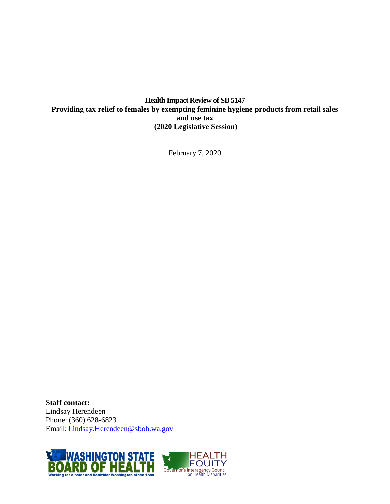**Health Impact Review of SB 5147 Providing tax relief to females by exempting feminine hygiene products from retail sales and use tax (2020 Legislative Session)**

February 7, 2020

**Staff contact:** Lindsay Herendeen Phone: (360) 628-6823 Email: [Lindsay.Herendeen@sboh.wa.gov](mailto:Lindsay.Herendeen@sboh.wa.gov?subject=Health%20Impact%20Review)

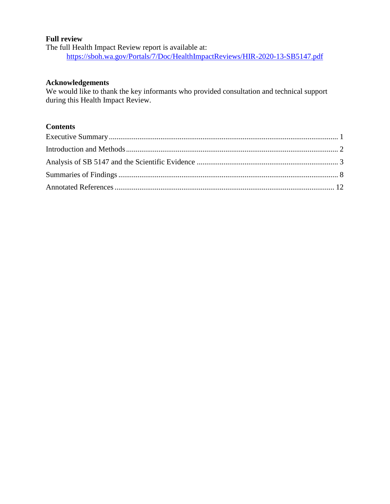#### **Full review**

The full Health Impact Review report is available at: <https://sboh.wa.gov/Portals/7/Doc/HealthImpactReviews/HIR-2020-13-SB5147.pdf>

#### **Acknowledgements**

We would like to thank the key informants who provided consultation and technical support during this Health Impact Review.

## **Contents**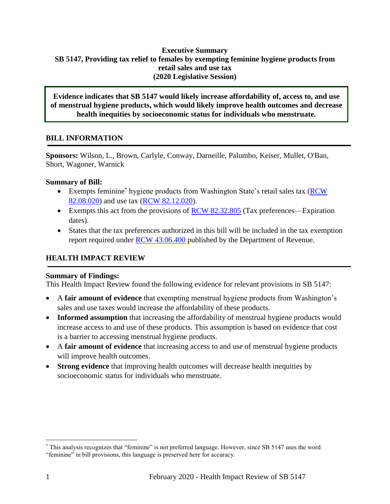#### <span id="page-2-0"></span>**Executive Summary SB 5147, Providing tax relief to females by exempting feminine hygiene products from retail sales and use tax (2020 Legislative Session)**

**Evidence indicates that SB 5147 would likely increase affordability of, access to, and use of menstrual hygiene products, which would likely improve health outcomes and decrease health inequities by socioeconomic status for individuals who menstruate.** 

## **BILL INFORMATION**

**Sponsors:** Wilson, L., Brown, Carlyle, Conway, Darneille, Palumbo, Keiser, Mullet, O'Ban, Short, Wagoner, Warnick

## **Summary of Bill:**

- Exempts feminine\* hygiene products from Washington State's retail sales tax (RCW) [82.08.020\)](https://app.leg.wa.gov/RCW/default.aspx?cite=82.08.020) and use tax [\(RCW 82.12.020\)](https://app.leg.wa.gov/RCW/default.aspx?cite=82.12.020).
- Exempts this act from the provisions of  $RCW 82.32.805$  (Tax preferences—Expiration dates).
- States that the tax preferences authorized in this bill will be included in the tax exemption report required under [RCW 43.06.400](https://app.leg.wa.gov/RCW/default.aspx?cite=43.06.400) published by the Department of Revenue.

## **HEALTH IMPACT REVIEW**

## **Summary of Findings:**

This Health Impact Review found the following evidence for relevant provisions in SB 5147:

- A **fair amount of evidence** that exempting menstrual hygiene products from Washington's sales and use taxes would increase the affordability of these products.
- Informed assumption that increasing the affordability of menstrual hygiene products would increase access to and use of these products. This assumption is based on evidence that cost is a barrier to accessing menstrual hygiene products.
- A **fair amount of evidence** that increasing access to and use of menstrual hygiene products will improve health outcomes.
- **Strong evidence** that improving health outcomes will decrease health inequities by socioeconomic status for individuals who menstruate.

 $\overline{a}$ 

<sup>\*</sup> This analysis recognizes that "feminine" is not preferred language. However, since SB 5147 uses the word "feminine" in bill provisions, this language is preserved here for accuracy.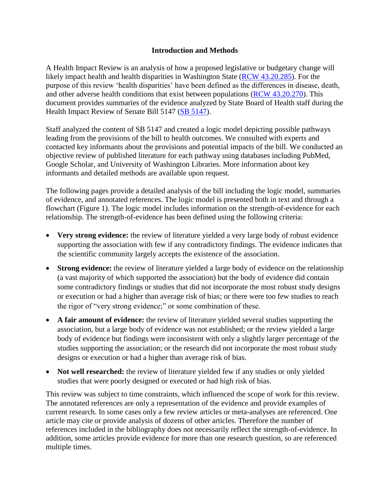#### **Introduction and Methods**

<span id="page-3-0"></span>A Health Impact Review is an analysis of how a proposed legislative or budgetary change will likely impact health and health disparities in Washington State [\(RCW 43.20.285\)](http://apps.leg.wa.gov/rcw/default.aspx?cite=43.20.285). For the purpose of this review 'health disparities' have been defined as the differences in disease, death, and other adverse health conditions that exist between populations [\(RCW 43.20.270\)](http://apps.leg.wa.gov/rcw/default.aspx?cite=43.20.270). This document provides summaries of the evidence analyzed by State Board of Health staff during the Health Impact Review of Senate Bill 5147 [\(SB 5147\)](https://app.leg.wa.gov/billsummary?BillNumber=5147&Year=2019).

Staff analyzed the content of SB 5147 and created a logic model depicting possible pathways leading from the provisions of the bill to health outcomes. We consulted with experts and contacted key informants about the provisions and potential impacts of the bill. We conducted an objective review of published literature for each pathway using databases including PubMed, Google Scholar, and University of Washington Libraries. More information about key informants and detailed methods are available upon request.

The following pages provide a detailed analysis of the bill including the logic model, summaries of evidence, and annotated references. The logic model is presented both in text and through a flowchart (Figure 1). The logic model includes information on the strength-of-evidence for each relationship. The strength-of-evidence has been defined using the following criteria:

- **Very strong evidence:** the review of literature yielded a very large body of robust evidence supporting the association with few if any contradictory findings. The evidence indicates that the scientific community largely accepts the existence of the association.
- **Strong evidence:** the review of literature yielded a large body of evidence on the relationship (a vast majority of which supported the association) but the body of evidence did contain some contradictory findings or studies that did not incorporate the most robust study designs or execution or had a higher than average risk of bias; or there were too few studies to reach the rigor of "very strong evidence;" or some combination of these.
- **A fair amount of evidence:** the review of literature yielded several studies supporting the association, but a large body of evidence was not established; or the review yielded a large body of evidence but findings were inconsistent with only a slightly larger percentage of the studies supporting the association; or the research did not incorporate the most robust study designs or execution or had a higher than average risk of bias.
- **Not well researched:** the review of literature yielded few if any studies or only yielded studies that were poorly designed or executed or had high risk of bias.

This review was subject to time constraints, which influenced the scope of work for this review. The annotated references are only a representation of the evidence and provide examples of current research. In some cases only a few review articles or meta-analyses are referenced. One article may cite or provide analysis of dozens of other articles. Therefore the number of references included in the bibliography does not necessarily reflect the strength-of-evidence. In addition, some articles provide evidence for more than one research question, so are referenced multiple times.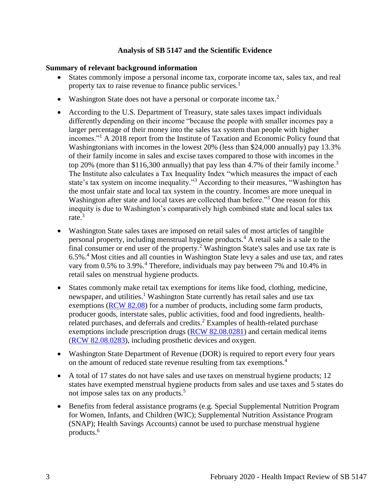#### **Analysis of SB 5147 and the Scientific Evidence**

#### <span id="page-4-0"></span>**Summary of relevant background information**

- States commonly impose a personal income tax, corporate income tax, sales tax, and real property tax to raise revenue to finance public services.<sup>1</sup>
- Washington State does not have a personal or corporate income tax.<sup>2</sup>
- According to the U.S. Department of Treasury, state sales taxes impact individuals differently depending on their income "because the people with smaller incomes pay a larger percentage of their money into the sales tax system than people with higher incomes."<sup>1</sup> A 2018 report from the Institute of Taxation and Economic Policy found that Washingtonians with incomes in the lowest 20% (less than \$24,000 annually) pay 13.3% of their family income in sales and excise taxes compared to those with incomes in the top 20% (more than \$116,300 annually) that pay less than 4.7% of their family income.<sup>3</sup> The Institute also calculates a Tax Inequality Index "which measures the impact of each state's tax system on income inequality."<sup>3</sup> According to their measures, "Washington has the most unfair state and local tax system in the country. Incomes are more unequal in Washington after state and local taxes are collected than before."<sup>3</sup> One reason for this inequity is due to Washington's comparatively high combined state and local sales tax rate.<sup>3</sup>
- Washington State sales taxes are imposed on retail sales of most articles of tangible personal property, including menstrual hygiene products.<sup>4</sup> A retail sale is a sale to the final consumer or end user of the property.<sup>2</sup> Washington State's sales and use tax rate is 6.5%.<sup>4</sup> Most cities and all counties in Washington State levy a sales and use tax, and rates vary from 0.5% to 3.9%.<sup>4</sup> Therefore, individuals may pay between 7% and 10.4% in retail sales on menstrual hygiene products.
- States commonly make retail tax exemptions for items like food, clothing, medicine, newspaper, and utilities.<sup>1</sup> Washington State currently has retail sales and use tax exemptions [\(RCW 82.08\)](https://app.leg.wa.gov/RCW/default.aspx?cite=82.08) for a number of products, including some farm products, producer goods, interstate sales, public activities, food and food ingredients, healthrelated purchases, and deferrals and credits.<sup>2</sup> Examples of health-related purchase exemptions include prescription drugs [\(RCW 82.08.0281\)](https://apps.leg.wa.gov/rcw/default.aspx?cite=82.08.0281) and certain medical items [\(RCW 82.08.0283\)](https://app.leg.wa.gov/RCW/default.aspx?cite=82.08.0283), including prosthetic devices and oxygen.
- Washington State Department of Revenue (DOR) is required to report every four years on the amount of reduced state revenue resulting from tax exemptions.<sup>4</sup>
- A total of 17 states do not have sales and use taxes on menstrual hygiene products; 12 states have exempted menstrual hygiene products from sales and use taxes and 5 states do not impose sales tax on any products.<sup>5</sup>
- Benefits from federal assistance programs (e.g. Special Supplemental Nutrition Program for Women, Infants, and Children (WIC); Supplemental Nutrition Assistance Program (SNAP); Health Savings Accounts) cannot be used to purchase menstrual hygiene products.<sup>6</sup>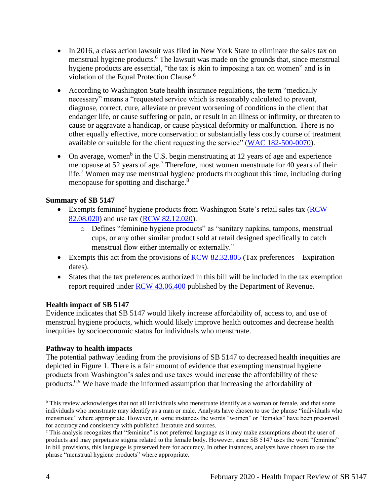- In 2016, a class action lawsuit was filed in New York State to eliminate the sales tax on menstrual hygiene products.<sup>6</sup> The lawsuit was made on the grounds that, since menstrual hygiene products are essential, "the tax is akin to imposing a tax on women" and is in violation of the Equal Protection Clause.<sup>6</sup>
- According to Washington State health insurance regulations, the term "medically necessary" means a "requested service which is reasonably calculated to prevent, diagnose, correct, cure, alleviate or prevent worsening of conditions in the client that endanger life, or cause suffering or pain, or result in an illness or infirmity, or threaten to cause or aggravate a handicap, or cause physical deformity or malfunction. There is no other equally effective, more conservation or substantially less costly course of treatment available or suitable for the client requesting the service" [\(WAC 182-500-0070\)](https://apps.leg.wa.gov/wac/default.aspx?cite=182-500-0070).
- On average, women<sup>b</sup> in the U.S. begin menstruating at 12 years of age and experience menopause at 52 years of age.<sup>7</sup> Therefore, most women menstruate for 40 years of their life.<sup>7</sup> Women may use menstrual hygiene products throughout this time, including during menopause for spotting and discharge.<sup>8</sup>

## **Summary of SB 5147**

- Exempts feminine<sup>c</sup> hygiene products from Washington State's retail sales tax (**RCW**) [82.08.020\)](https://app.leg.wa.gov/RCW/default.aspx?cite=82.08.020) and use tax [\(RCW 82.12.020\)](https://app.leg.wa.gov/RCW/default.aspx?cite=82.12.020).
	- o Defines "feminine hygiene products" as "sanitary napkins, tampons, menstrual cups, or any other similar product sold at retail designed specifically to catch menstrual flow either internally or externally."
- Exempts this act from the provisions of [RCW 82.32.805](https://app.leg.wa.gov/RCW/default.aspx?cite=82.32.805) (Tax preferences—Expiration dates).
- States that the tax preferences authorized in this bill will be included in the tax exemption report required under [RCW 43.06.400](https://app.leg.wa.gov/RCW/default.aspx?cite=43.06.400) published by the Department of Revenue.

## **Health impact of SB 5147**

Evidence indicates that SB 5147 would likely increase affordability of, access to, and use of menstrual hygiene products, which would likely improve health outcomes and decrease health inequities by socioeconomic status for individuals who menstruate.

## **Pathway to health impacts**

The potential pathway leading from the provisions of SB 5147 to decreased health inequities are depicted in Figure 1. There is a fair amount of evidence that exempting menstrual hygiene products from Washington's sales and use taxes would increase the affordability of these products.6,9 We have made the informed assumption that increasing the affordability of

 $\overline{a}$ 

<sup>b</sup> This review acknowledges that not all individuals who menstruate identify as a woman or female, and that some individuals who menstruate may identify as a man or male. Analysts have chosen to use the phrase "individuals who menstruate" where appropriate. However, in some instances the words "women" or "females" have been preserved for accuracy and consistency with published literature and sources.

<sup>c</sup> This analysis recognizes that "feminine" is not preferred language as it may make assumptions about the user of products and may perpetuate stigma related to the female body. However, since SB 5147 uses the word "feminine" in bill provisions, this language is preserved here for accuracy. In other instances, analysts have chosen to use the phrase "menstrual hygiene products" where appropriate.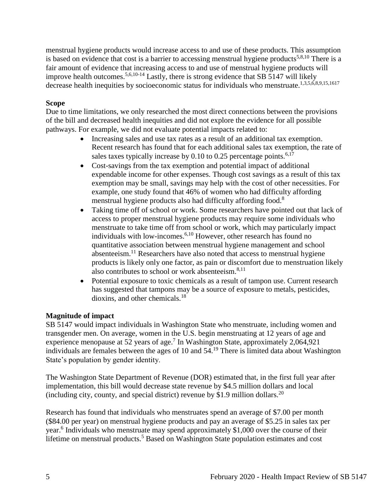menstrual hygiene products would increase access to and use of these products. This assumption is based on evidence that cost is a barrier to accessing menstrual hygiene products<sup>5,8,10</sup> There is a fair amount of evidence that increasing access to and use of menstrual hygiene products will improve health outcomes.<sup>5,6,10-14</sup> Lastly, there is strong evidence that SB 5147 will likely decrease health inequities by socioeconomic status for individuals who menstruate.1,3,5,6,8,9,15,1617

## **Scope**

Due to time limitations, we only researched the most direct connections between the provisions of the bill and decreased health inequities and did not explore the evidence for all possible pathways. For example, we did not evaluate potential impacts related to:

- Increasing sales and use tax rates as a result of an additional tax exemption. Recent research has found that for each additional sales tax exemption, the rate of sales taxes typically increase by 0.10 to 0.25 percentage points.<sup>6,17</sup>
- Cost-savings from the tax exemption and potential impact of additional expendable income for other expenses. Though cost savings as a result of this tax exemption may be small, savings may help with the cost of other necessities. For example, one study found that 46% of women who had difficulty affording menstrual hygiene products also had difficulty affording food.<sup>8</sup>
- Taking time off of school or work. Some researchers have pointed out that lack of access to proper menstrual hygiene products may require some individuals who menstruate to take time off from school or work, which may particularly impact individuals with low-incomes.6,10 However, other research has found no quantitative association between menstrual hygiene management and school absenteeism.<sup>11</sup> Researchers have also noted that access to menstrual hygiene products is likely only one factor, as pain or discomfort due to menstruation likely also contributes to school or work absenteeism.<sup>8,11</sup>
- Potential exposure to toxic chemicals as a result of tampon use. Current research has suggested that tampons may be a source of exposure to metals, pesticides, dioxins, and other chemicals.<sup>18</sup>

## **Magnitude of impact**

SB 5147 would impact individuals in Washington State who menstruate, including women and transgender men. On average, women in the U.S. begin menstruating at 12 years of age and experience menopause at 52 years of age.<sup>7</sup> In Washington State, approximately 2,064,921 individuals are females between the ages of 10 and 54.<sup>19</sup> There is limited data about Washington State's population by gender identity.

The Washington State Department of Revenue (DOR) estimated that, in the first full year after implementation, this bill would decrease state revenue by \$4.5 million dollars and local (including city, county, and special district) revenue by \$1.9 million dollars.<sup>20</sup>

Research has found that individuals who menstruates spend an average of \$7.00 per month (\$84.00 per year) on menstrual hygiene products and pay an average of \$5.25 in sales tax per year.<sup>6</sup> Individuals who menstruate may spend approximately \$1,000 over the course of their lifetime on menstrual products.<sup>5</sup> Based on Washington State population estimates and cost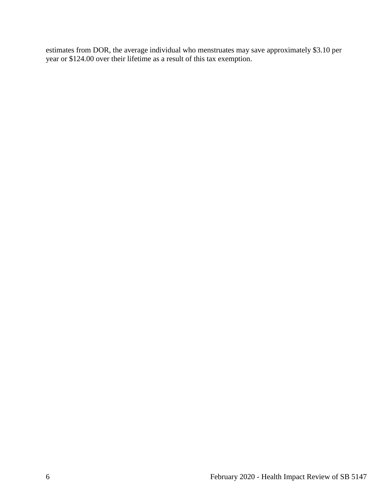estimates from DOR, the average individual who menstruates may save approximately \$3.10 per year or \$124.00 over their lifetime as a result of this tax exemption.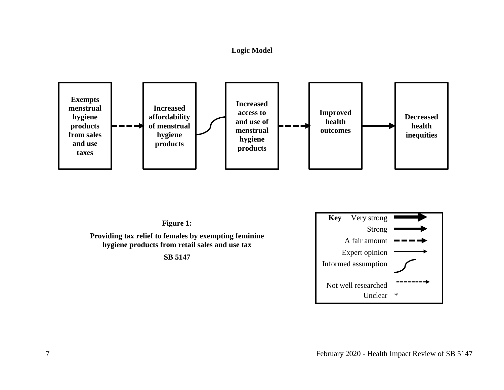## **Logic Model**







Unclear \*

Not well researched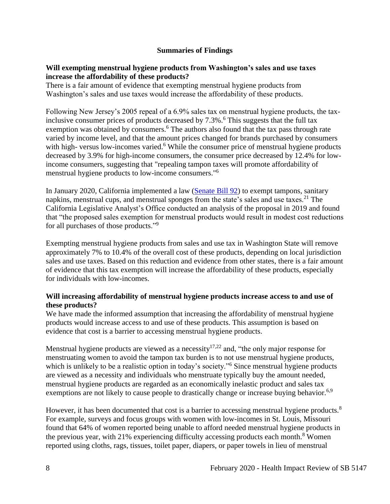#### **Summaries of Findings**

#### <span id="page-9-0"></span>**Will exempting menstrual hygiene products from Washington's sales and use taxes increase the affordability of these products?**

There is a fair amount of evidence that exempting menstrual hygiene products from Washington's sales and use taxes would increase the affordability of these products.

Following New Jersey's 2005 repeal of a 6.9% sales tax on menstrual hygiene products, the taxinclusive consumer prices of products decreased by  $7.3\%$ .<sup>6</sup> This suggests that the full tax exemption was obtained by consumers.<sup>6</sup> The authors also found that the tax pass through rate varied by income level, and that the amount prices changed for brands purchased by consumers with high-versus low-incomes varied.<sup>6</sup> While the consumer price of menstrual hygiene products decreased by 3.9% for high-income consumers, the consumer price decreased by 12.4% for lowincome consumers, suggesting that "repealing tampon taxes will promote affordability of menstrual hygiene products to low-income consumers."<sup>6</sup>

In January 2020, California implemented a law [\(Senate Bill 92\)](https://leginfo.legislature.ca.gov/faces/billTextClient.xhtml?bill_id=201920200SB92) to exempt tampons, sanitary napkins, menstrual cups, and menstrual sponges from the state's sales and use taxes.<sup>21</sup> The California Legislative Analyst's Office conducted an analysis of the proposal in 2019 and found that "the proposed sales exemption for menstrual products would result in modest cost reductions for all purchases of those products."<sup>9</sup>

Exempting menstrual hygiene products from sales and use tax in Washington State will remove approximately 7% to 10.4% of the overall cost of these products, depending on local jurisdiction sales and use taxes. Based on this reduction and evidence from other states, there is a fair amount of evidence that this tax exemption will increase the affordability of these products, especially for individuals with low-incomes.

#### **Will increasing affordability of menstrual hygiene products increase access to and use of these products?**

We have made the informed assumption that increasing the affordability of menstrual hygiene products would increase access to and use of these products. This assumption is based on evidence that cost is a barrier to accessing menstrual hygiene products.

Menstrual hygiene products are viewed as a necessity<sup>17,22</sup> and, "the only major response for menstruating women to avoid the tampon tax burden is to not use menstrual hygiene products, which is unlikely to be a realistic option in today's society."<sup>6</sup> Since menstrual hygiene products are viewed as a necessity and individuals who menstruate typically buy the amount needed, menstrual hygiene products are regarded as an economically inelastic product and sales tax exemptions are not likely to cause people to drastically change or increase buying behavior.<sup>6,9</sup>

However, it has been documented that cost is a barrier to accessing menstrual hygiene products.<sup>8</sup> For example, surveys and focus groups with women with low-incomes in St. Louis, Missouri found that 64% of women reported being unable to afford needed menstrual hygiene products in the previous year, with 21% experiencing difficulty accessing products each month.<sup>8</sup> Women reported using cloths, rags, tissues, toilet paper, diapers, or paper towels in lieu of menstrual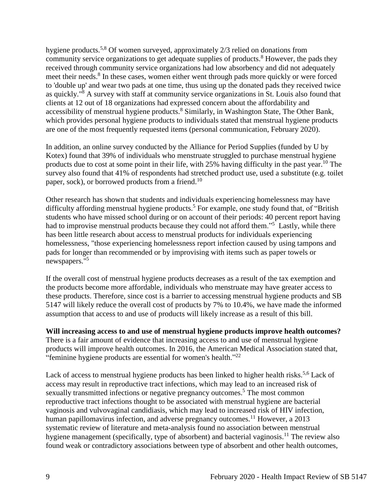hygiene products.5,8 Of women surveyed, approximately 2/3 relied on donations from community service organizations to get adequate supplies of products.<sup>8</sup> However, the pads they received through community service organizations had low absorbency and did not adequately meet their needs.<sup>8</sup> In these cases, women either went through pads more quickly or were forced to 'double up' and wear two pads at one time, thus using up the donated pads they received twice as quickly."<sup>8</sup> A survey with staff at community service organizations in St. Louis also found that clients at 12 out of 18 organizations had expressed concern about the affordability and accessibility of menstrual hygiene products.<sup>8</sup> Similarly, in Washington State, The Other Bank, which provides personal hygiene products to individuals stated that menstrual hygiene products are one of the most frequently requested items (personal communication, February 2020).

In addition, an online survey conducted by the Alliance for Period Supplies (funded by U by Kotex) found that 39% of individuals who menstruate struggled to purchase menstrual hygiene products due to cost at some point in their life, with 25% having difficulty in the past year.<sup>10</sup> The survey also found that 41% of respondents had stretched product use, used a substitute (e.g. toilet paper, sock), or borrowed products from a friend.<sup>10</sup>

Other research has shown that students and individuals experiencing homelessness may have difficulty affording menstrual hygiene products.<sup>5</sup> For example, one study found that, of "British" students who have missed school during or on account of their periods: 40 percent report having had to improvise menstrual products because they could not afford them."<sup>5</sup> Lastly, while there has been little research about access to menstrual products for individuals experiencing homelessness, "those experiencing homelessness report infection caused by using tampons and pads for longer than recommended or by improvising with items such as paper towels or newspapers."<sup>5</sup>

If the overall cost of menstrual hygiene products decreases as a result of the tax exemption and the products become more affordable, individuals who menstruate may have greater access to these products. Therefore, since cost is a barrier to accessing menstrual hygiene products and SB 5147 will likely reduce the overall cost of products by 7% to 10.4%, we have made the informed assumption that access to and use of products will likely increase as a result of this bill.

**Will increasing access to and use of menstrual hygiene products improve health outcomes?** There is a fair amount of evidence that increasing access to and use of menstrual hygiene products will improve health outcomes. In 2016, the American Medical Association stated that, "feminine hygiene products are essential for women's health."<sup>22</sup>

Lack of access to menstrual hygiene products has been linked to higher health risks.<sup>5,6</sup> Lack of access may result in reproductive tract infections, which may lead to an increased risk of sexually transmitted infections or negative pregnancy outcomes.<sup>5</sup> The most common reproductive tract infections thought to be associated with menstrual hygiene are bacterial vaginosis and vulvovaginal candidiasis, which may lead to increased risk of HIV infection, human papillomavirus infection, and adverse pregnancy outcomes.<sup>11</sup> However, a 2013 systematic review of literature and meta-analysis found no association between menstrual hygiene management (specifically, type of absorbent) and bacterial vaginosis.<sup>11</sup> The review also found weak or contradictory associations between type of absorbent and other health outcomes,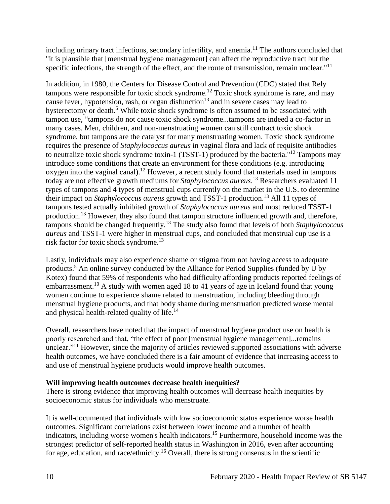including urinary tract infections, secondary infertility, and anemia.<sup>11</sup> The authors concluded that "it is plausible that [menstrual hygiene management] can affect the reproductive tract but the specific infections, the strength of the effect, and the route of transmission, remain unclear."<sup>11</sup>

In addition, in 1980, the Centers for Disease Control and Prevention (CDC) stated that Rely tampons were responsible for toxic shock syndrome.<sup>12</sup> Toxic shock syndrome is rare, and may cause fever, hypotension, rash, or organ disfunction<sup>13</sup> and in severe cases may lead to hysterectomy or death.<sup>5</sup> While toxic shock syndrome is often assumed to be associated with tampon use, "tampons do not cause toxic shock syndrome...tampons are indeed a co-factor in many cases. Men, children, and non-menstruating women can still contract toxic shock syndrome, but tampons are the catalyst for many menstruating women. Toxic shock syndrome requires the presence of *Staphylococcus aureus* in vaginal flora and lack of requisite antibodies to neutralize toxic shock syndrome toxin-1 (TSST-1) produced by the bacteria."<sup>12</sup> Tampons may introduce some conditions that create an environment for these conditions (e.g. introducing oxygen into the vaginal canal).<sup>12</sup> However, a recent study found that materials used in tampons today are not effective growth mediums for *Staphylococcus aureus*. <sup>13</sup> Researchers evaluated 11 types of tampons and 4 types of menstrual cups currently on the market in the U.S. to determine their impact on *Staphylococcus aureus* growth and TSST-1 production.<sup>13</sup> All 11 types of tampons tested actually inhibited growth of *Staphylococcus aureus* and most reduced TSST-1 production.<sup>13</sup> However, they also found that tampon structure influenced growth and, therefore, tampons should be changed frequently.<sup>13</sup> The study also found that levels of both *Staphylococcus aureus* and TSST-1 were higher in menstrual cups, and concluded that menstrual cup use is a risk factor for toxic shock syndrome.<sup>13</sup>

Lastly, individuals may also experience shame or stigma from not having access to adequate products.<sup>5</sup> An online survey conducted by the Alliance for Period Supplies (funded by U by Kotex) found that 59% of respondents who had difficulty affording products reported feelings of embarrassment.<sup>10</sup> A study with women aged 18 to 41 years of age in Iceland found that young women continue to experience shame related to menstruation, including bleeding through menstrual hygiene products, and that body shame during menstruation predicted worse mental and physical health-related quality of life.<sup>14</sup>

Overall, researchers have noted that the impact of menstrual hygiene product use on health is poorly researched and that, "the effect of poor [menstrual hygiene management]...remains unclear."<sup>11</sup> However, since the majority of articles reviewed supported associations with adverse health outcomes, we have concluded there is a fair amount of evidence that increasing access to and use of menstrual hygiene products would improve health outcomes.

## **Will improving health outcomes decrease health inequities?**

There is strong evidence that improving health outcomes will decrease health inequities by socioeconomic status for individuals who menstruate.

It is well-documented that individuals with low socioeconomic status experience worse health outcomes. Significant correlations exist between lower income and a number of health indicators, including worse women's health indicators.<sup>15</sup> Furthermore, household income was the strongest predictor of self-reported health status in Washington in 2016, even after accounting for age, education, and race/ethnicity.<sup>16</sup> Overall, there is strong consensus in the scientific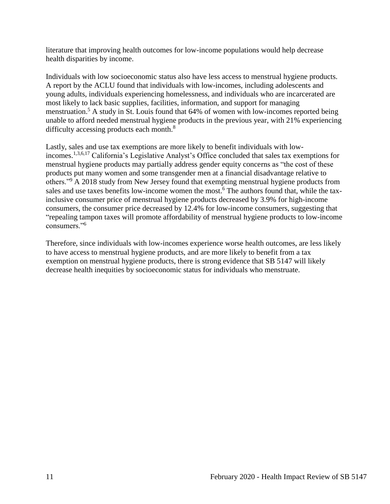literature that improving health outcomes for low-income populations would help decrease health disparities by income.

Individuals with low socioeconomic status also have less access to menstrual hygiene products. A report by the ACLU found that individuals with low-incomes, including adolescents and young adults, individuals experiencing homelessness, and individuals who are incarcerated are most likely to lack basic supplies, facilities, information, and support for managing menstruation.<sup>5</sup> A study in St. Louis found that 64% of women with low-incomes reported being unable to afford needed menstrual hygiene products in the previous year, with 21% experiencing difficulty accessing products each month.<sup>8</sup>

Lastly, sales and use tax exemptions are more likely to benefit individuals with lowincomes.1,3,6,17 California's Legislative Analyst's Office concluded that sales tax exemptions for menstrual hygiene products may partially address gender equity concerns as "the cost of these products put many women and some transgender men at a financial disadvantage relative to others."<sup>9</sup> A 2018 study from New Jersey found that exempting menstrual hygiene products from sales and use taxes benefits low-income women the most.<sup>6</sup> The authors found that, while the taxinclusive consumer price of menstrual hygiene products decreased by 3.9% for high-income consumers, the consumer price decreased by 12.4% for low-income consumers, suggesting that "repealing tampon taxes will promote affordability of menstrual hygiene products to low-income consumers<sup>"6</sup>

Therefore, since individuals with low-incomes experience worse health outcomes, are less likely to have access to menstrual hygiene products, and are more likely to benefit from a tax exemption on menstrual hygiene products, there is strong evidence that SB 5147 will likely decrease health inequities by socioeconomic status for individuals who menstruate.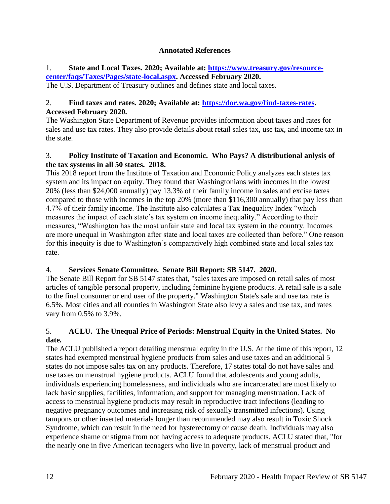## **Annotated References**

## <span id="page-13-0"></span>1. **State and Local Taxes. 2020; Available at: [https://www.treasury.gov/resource](https://www.treasury.gov/resource-center/faqs/Taxes/Pages/state-local.aspx)[center/faqs/Taxes/Pages/state-local.aspx.](https://www.treasury.gov/resource-center/faqs/Taxes/Pages/state-local.aspx) Accessed February 2020.**

The U.S. Department of Treasury outlines and defines state and local taxes.

## 2. **Find taxes and rates. 2020; Available at: [https://dor.wa.gov/find-taxes-rates.](https://dor.wa.gov/find-taxes-rates) Accessed February 2020.**

The Washington State Department of Revenue provides information about taxes and rates for sales and use tax rates. They also provide details about retail sales tax, use tax, and income tax in the state.

## 3. **Policy Institute of Taxation and Economic. Who Pays? A distributional anlysis of the tax systems in all 50 states. 2018.**

This 2018 report from the Institute of Taxation and Economic Policy analyzes each states tax system and its impact on equity. They found that Washingtonians with incomes in the lowest 20% (less than \$24,000 annually) pay 13.3% of their family income in sales and excise taxes compared to those with incomes in the top 20% (more than \$116,300 annually) that pay less than 4.7% of their family income. The Institute also calculates a Tax Inequality Index "which measures the impact of each state's tax system on income inequality." According to their measures, "Washington has the most unfair state and local tax system in the country. Incomes are more unequal in Washington after state and local taxes are collected than before." One reason for this inequity is due to Washington's comparatively high combined state and local sales tax rate.

# 4. **Services Senate Committee. Senate Bill Report: SB 5147. 2020.**

The Senate Bill Report for SB 5147 states that, "sales taxes are imposed on retail sales of most articles of tangible personal property, including feminine hygiene products. A retail sale is a sale to the final consumer or end user of the property." Washington State's sale and use tax rate is 6.5%. Most cities and all counties in Washington State also levy a sales and use tax, and rates vary from 0.5% to 3.9%.

## 5. **ACLU. The Unequal Price of Periods: Menstrual Equity in the United States. No date.**

The ACLU published a report detailing menstrual equity in the U.S. At the time of this report, 12 states had exempted menstrual hygiene products from sales and use taxes and an additional 5 states do not impose sales tax on any products. Therefore, 17 states total do not have sales and use taxes on menstrual hygiene products. ACLU found that adolescents and young adults, individuals experiencing homelessness, and individuals who are incarcerated are most likely to lack basic supplies, facilities, information, and support for managing menstruation. Lack of access to menstrual hygiene products may result in reproductive tract infections (leading to negative pregnancy outcomes and increasing risk of sexually transmitted infections). Using tampons or other inserted materials longer than recommended may also result in Toxic Shock Syndrome, which can result in the need for hysterectomy or cause death. Individuals may also experience shame or stigma from not having access to adequate products. ACLU stated that, "for the nearly one in five American teenagers who live in poverty, lack of menstrual product and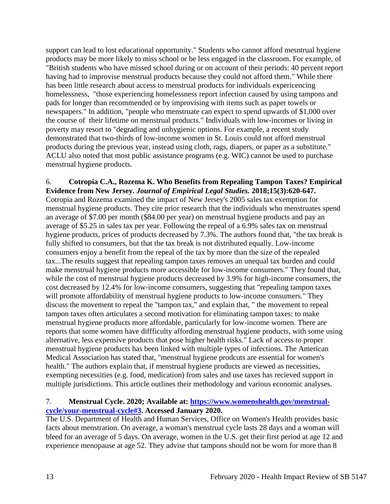support can lead to lost educational opportunity." Students who cannot afford mesntrual hygiene products may be more likely to miss school or be less engaged in the classroom. For example, of "British students who have missed school during or on account of their periods: 40 percent report having had to improvise menstrual products because they could not afford them." While there has been little research about access to menstrual products for individuals expericencing homelessness, "those experiencing homelessness report infection caused by using tampons and pads for longer than recommended or by improvising with items such as paper towels or newspapers." In addition, "people who menstruate can expect to spend upwards of \$1,000 over the course of their lifetime on menstrual products." Individuals with low-incomes or living in poverty may resort to "degrading and unhygienic options. For example, a recent study demonstrated that two-thirds of low-income women in St. Louis could not afford menstrual products during the previous year, instead using cloth, rags, diapers, or paper as a substitute." ACLU also noted that most public assistance programs (e.g. WIC) cannot be used to purchase menstrual hygiene products.

#### 6. **Cotropia C.A., Rozema K. Who Benefits from Repealing Tampon Taxes? Empirical Evidence from New Jersey.** *Journal of Empirical Legal Studies.* **2018;15(3):620-647.**

Cotropia and Rozema examined the impact of New Jersey's 2005 sales tax exemption for menstrual hygiene products. They cite prior research that the individuals who menstruates spend an average of \$7.00 per month (\$84.00 per year) on menstrual hygiene products and pay an average of \$5.25 in sales tax per year. Following the repeal of a 6.9% sales tax on menstrual hygiene products, prices of products decreased by 7.3%. The authors found that, "the tax break is fully shifted to consumers, but that the tax break is not distributed equally. Low-income consumers enjoy a benefit from the repeal of the tax by more than the size of the repealed tax...The results suggest that repealing tampon taxes removes an unequal tax burden and could make menstrual hygiene products more accessible for low-income consumers." They found that, while the cost of menstrual hygiene products decreased by 3.9% for high-income consumers, the cost decreased by 12.4% for low-income consumers, suggesting that "repealing tampon taxes will promote affordability of menstrual hygiene products to low-income consumers." They discuss the movement to repeal the "tampon tax," and explain that, " the movement to repeal tampon taxes often articulates a second motivation for eliminating tampon taxes: to make menstrual hygiene products more affordable, particularly for low-income women. There are reports that some women have diffficulty affording menstrual hygiene products, with some using alternative, less expensive products that pose higher health risks." Lack of access to proper menstrual hygiene products has been linked with multiple types of infections. The American Medical Association has stated that, "menstrual hygiene prodcuts are essential for women's health." The authors explain that, if menstrual hygiene products are viewed as necessities, exempting necessities (e.g. food, medication) from sales and use taxes has recieved support in multiple jurisdictions. This article outlines their methodology and various economic analyses.

## 7. **Menstrual Cycle. 2020; Available at: [https://www.womenshealth.gov/menstrual](https://www.womenshealth.gov/menstrual-cycle/your-menstrual-cycle#3)[cycle/your-menstrual-cycle#3.](https://www.womenshealth.gov/menstrual-cycle/your-menstrual-cycle#3) Accessed January 2020.**

The U.S. Department of Health and Human Services, Office on Women's Health provides basic facts about menstration. On average, a woman's menstrual cycle lasts 28 days and a woman will bleed for an average of 5 days. On average, women in the U.S. get their first period at age 12 and experience menopause at age 52. They advise that tampons should not be worn for more than 8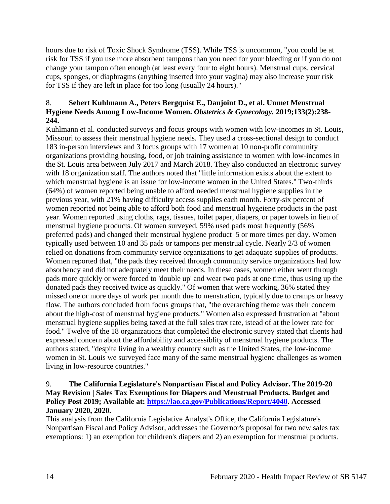hours due to risk of Toxic Shock Syndrome (TSS). While TSS is uncommon, "you could be at risk for TSS if you use more absorbent tampons than you need for your bleeding or if you do not change your tampon often enough (at least every four to eight hours). Menstrual cups, cervical cups, sponges, or diaphragms (anything inserted into your vagina) may also increase your risk for TSS if they are left in place for too long (usually 24 hours)."

## 8. **Sebert Kuhlmann A., Peters Bergquist E., Danjoint D., et al. Unmet Menstrual Hygiene Needs Among Low-Income Women.** *Obstetrics & Gynecology.* **2019;133(2):238- 244.**

Kuhlmann et al. conducted surveys and focus groups with women with low-incomes in St. Louis, Missouri to assess their menstrual hygiene needs. They used a cross-sectional design to conduct 183 in-person interviews and 3 focus groups with 17 women at 10 non-profit community organizations providing housing, food, or job training assistance to women with low-incomes in the St. Louis area between July 2017 and March 2018. They also conducted an electronic survey with 18 organization staff. The authors noted that "little information exists about the extent to which menstrual hygiene is an issue for low-income women in the United States." Two-thirds (64%) of women reported being unable to afford needed menstrual hygiene supplies in the previous year, with 21% having difficulty access supplies each month. Forty-six percent of women reported not being able to afford both food and menstrual hygeiene products in the past year. Women reported using cloths, rags, tissues, toilet paper, diapers, or paper towels in lieu of menstrual hygiene products. Of women surveyed, 59% used pads most frequently (56% preferred pads) and changed their menstrual hygiene product 5 or more times per day. Women typically used between 10 and 35 pads or tampons per menstrual cycle. Nearly 2/3 of women relied on donations from community service organizations to get adaquate supplies of products. Women reported that, "the pads they received through community service organizations had low absorbency and did not adequately meet their needs. In these cases, women either went through pads more quickly or were forced to 'double up' and wear two pads at one time, thus using up the donated pads they received twice as quickly." Of women that were working, 36% stated they missed one or more days of work per month due to menstration, typically due to cramps or heavy flow. The authors concluded from focus groups that, "the overarching theme was their concern about the high-cost of menstrual hygiene products." Women also expressed frustration at "about menstrual hygiene supplies being taxed at the full sales trax rate, istead of at the lower rate for food." Twelve of the 18 organizations that completed the electronic survey stated that clients had expressed concern about the affordability and accessiblity of menstrual hygiene products. The authors stated, "despite living in a wealthy country such as the United States, the low-income women in St. Louis we surveyed face many of the same menstrual hygiene challenges as women living in low-resource countries."

## 9. **The California Legislature's Nonpartisan Fiscal and Policy Advisor. The 2019-20 May Revision | Sales Tax Exemptions for Diapers and Menstrual Products. Budget and Policy Post 2019; Available at: [https://lao.ca.gov/Publications/Report/4040.](https://lao.ca.gov/Publications/Report/4040) Accessed January 2020, 2020.**

This analysis from the California Legislative Analyst's Office, the California Legislature's Nonpartisan Fiscal and Policy Advisor, addresses the Governor's proposal for two new sales tax exemptions: 1) an exemption for children's diapers and 2) an exemption for menstrual products.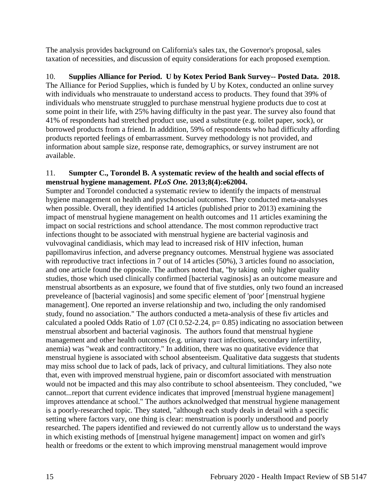The analysis provides background on California's sales tax, the Governor's proposal, sales taxation of necessities, and discussion of equity considerations for each proposed exemption.

# 10. **Supplies Alliance for Period. U by Kotex Period Bank Survey-- Posted Data. 2018.**

The Alliance for Period Supplies, which is funded by U by Kotex, conducted an online survey with individuals who menstrauate to understand access to products. They found that 39% of individuals who menstruate struggled to purchase menstrual hygiene products due to cost at some point in their life, with 25% having difficulty in the past year. The survey also found that 41% of respondents had stretched product use, used a substitute (e.g. toilet paper, sock), or borrowed products from a friend. In adddition, 59% of respondents who had difficulty affording products reported feelings of embarrassment. Survey methodology is not provided, and information about sample size, response rate, demographics, or survey instrument are not available.

## 11. **Sumpter C., Torondel B. A systematic review of the health and social effects of menstrual hygiene management.** *PLoS One.* **2013;8(4):e62004.**

Sumpter and Torondel conducted a systematic review to identify the impacts of menstrual hygiene management on health and pyschosocial outcomes. They conducted meta-analsyses when possible. Overall, they identified 14 articles (published prior to 2013) examining the impact of menstrual hygiene management on health outcomes and 11 articles examining the impact on social restrictions and school attendance. The most common reproductive tract infections thought to be associated with menstrual hygiene are bacterial vaginosis and vulvovaginal candidiasis, which may lead to increased risk of HIV infection, human papillomavirus infection, and adverse pregnancy outcomes. Menstrual hygiene was associated with reproductive tract infections in 7 out of 14 articles (50%), 3 articles found no association, and one article found the opposite. The authors noted that, "by taking only higher quality studies, those which used clinically confirmed [bacterial vaginosis] as an outcome measure and menstrual absortbents as an exposure, we found that of five stutdies, only two found an increased preveleance of [bacterial vaginosis] and some specific element of 'poor' [menstrual hygiene management]. One reported an inverse relationship and two, including the only randomised study, found no association." The authors conducted a meta-analysis of these fiv articles and calculated a pooled Odds Ratio of 1.07 (CI 0.52-2.24, p= 0.85) indicating no association between menstrual absorbent and bacterial vaginosis. The authors found that menstrual hygiene management and other health outcomes (e.g. urinary tract infections, secondary infertility, anemia) was "weak and contractitory." In addition, there was no quatitative evidence that menstrual hygiene is associated with school absenteeism. Qualitative data suggests that students may miss school due to lack of pads, lack of privacy, and cultural limitiations. They also note that, even with improved menstrual hygiene, pain or discomfort associated with menstruation would not be impacted and this may also contribute to school absenteeism. They concluded, "we cannot...report that current evidence indicates that improved [menstrual hygiene management] improves attendance at school." The authors acknolwedged that menstrual hygiene management is a poorly-researched topic. They stated, "although each study deals in detail with a specific setting where factors vary, one thing is clear: menstruation is poorly understhood and poorly researched. The papers identified and reviewed do not currently allow us to understand the ways in which existing methods of [menstrual hyigene management] impact on women and girl's health or freedoms or the extent to which improving menstrual management would improve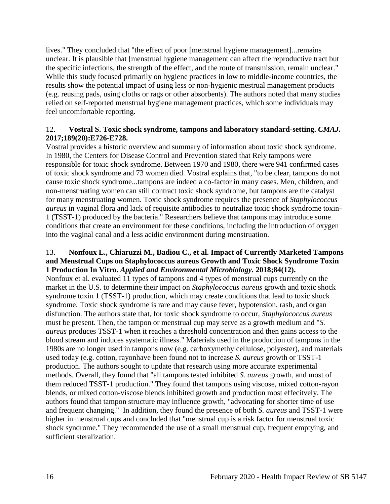lives." They concluded that "the effect of poor [menstrual hygiene management]...remains unclear. It is plausible that [menstrual hygiene management can affect the reproductive tract but the specific infections, the strength of the effect, and the route of transmission, remain unclear." While this study focused primarily on hygiene practices in low to middle-income countries, the results show the potential impact of using less or non-hygienic mestrual management products (e.g. reusing pads, using cloths or rags or other absorbents). The authors noted that many studies relied on self-reported menstrual hygiene management practices, which some individuals may feel uncomfortable reporting.

## 12. **Vostral S. Toxic shock syndrome, tampons and laboratory standard-setting.** *CMAJ.* **2017;189(20):E726-E728.**

Vostral provides a historic overview and summary of information about toxic shock syndrome. In 1980, the Centers for Disease Control and Prevention stated that Rely tampons were responsible for toxic shock syndrome. Between 1970 and 1980, there were 941 confirmed cases of toxic shock syndrome and 73 women died. Vostral explains that, "to be clear, tampons do not cause toxic shock syndrome...tampons are indeed a co-factor in many cases. Men, children, and non-menstruating women can still contract toxic shock syndrome, but tampons are the catalyst for many menstruating women. Toxic shock syndrome requires the presence of *Staphylococcus aureus* in vaginal flora and lack of requisite antibodies to neutralize toxic shock syndrome toxin-1 (TSST-1) produced by the bacteria." Researchers believe that tampons may introduce some conditions that create an environment for these conditions, including the introduction of oxygen into the vaginal canal and a less acidic environment during menstruation.

## 13. **Nonfoux L., Chiaruzzi M., Badiou C., et al. Impact of Currently Marketed Tampons and Menstrual Cups on Staphylococcus aureus Growth and Toxic Shock Syndrome Toxin 1 Production In Vitro.** *Applied and Environmental Microbiology.* **2018;84(12).**

Nonfoux et al. evaluated 11 types of tampons and 4 types of menstrual cups currently on the market in the U.S. to determine their impact on *Staphylococcus aureus* growth and toxic shock syndrome toxin 1 (TSST-1) production, which may create conditions that lead to toxic shock syndrome. Toxic shock syndrome is rare and may cause fever, hypotension, rash, and organ disfunction. The authors state that, for toxic shock syndrome to occur, *Staphylococcus aureus* must be present. Then, the tampon or menstrual cup may serve as a growth medium and "*S. aureus* produces TSST-1 when it reaches a threshold concentration and then gains access to the blood stream and induces systematic illness." Materials used in the production of tampons in the 1980s are no longer used in tampons now (e.g. carboxymethylcellulose, polyester), and materials used today (e.g. cotton, rayonhave been found not to increase *S. aureus* growth or TSST-1 production. The authors sought to update that research using more accurate experimental methods. Overall, they found that "all tampons tested inhibited *S. aureus* growth, and most of them reduced TSST-1 production." They found that tampons using viscose, mixed cotton-rayon blends, or mixed cotton-viscose blends inhibited growth and production most effecitvely. The authors found that tampon structure may influence growth, "advocating for shorter time of use and frequent changing." In addition, they found the presence of both *S. aureus* and TSST-1 were higher in menstrual cups and concluded that "menstrual cup is a risk factor for menstrual toxic shock syndrome." They recommended the use of a small menstrual cup, frequent emptying, and sufficient steralization.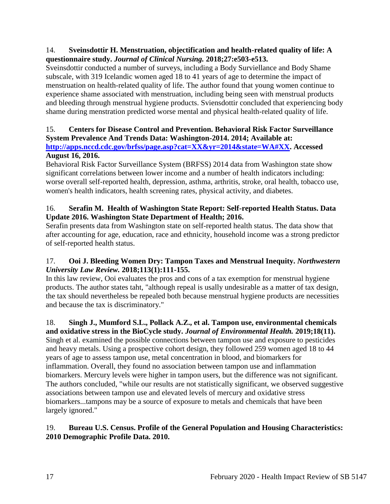## 14. **Sveinsdottir H. Menstruation, objectification and health-related quality of life: A questionnaire study.** *Journal of Clinical Nursing.* **2018;27:e503-e513.**

Sveinsdottir conducted a number of surveys, including a Body Surviellance and Body Shame subscale, with 319 Icelandic women aged 18 to 41 years of age to determine the impact of menstruation on health-related quality of life. The author found that young women continue to experience shame associated with menstruation, including being seen with menstrual products and bleeding through menstrual hygiene products. Sviensdottir concluded that experiencing body shame during menstration predicted worse mental and physical health-related quality of life.

# 15. **Centers for Disease Control and Prevention. Behavioral Risk Factor Surveillance System Prevalence And Trends Data: Washington-2014. 2014; Available at:**

**[http://apps.nccd.cdc.gov/brfss/page.asp?cat=XX&yr=2014&state=WA#XX.](http://apps.nccd.cdc.gov/brfss/page.asp?cat=XX&yr=2014&state=WA#XX) Accessed August 16, 2016.**

Behavioral Risk Factor Surveillance System (BRFSS) 2014 data from Washington state show significant correlations between lower income and a number of health indicators including: worse overall self-reported health, depression, asthma, arthritis, stroke, oral health, tobacco use, women's health indicators, health screening rates, physical activity, and diabetes.

## 16. **Serafin M. Health of Washington State Report: Self-reported Health Status. Data Update 2016. Washington State Department of Health; 2016.**

Serafin presents data from Washington state on self-reported health status. The data show that after accounting for age, education, race and ethnicity, household income was a strong predictor of self-reported health status.

## 17. **Ooi J. Bleeding Women Dry: Tampon Taxes and Menstrual Inequity.** *Northwestern University Law Review.* **2018;113(1):111-155.**

In this law review, Ooi evaluates the pros and cons of a tax exemption for menstrual hygiene products. The author states taht, "although repeal is usally undesirable as a matter of tax design, the tax should nevertheless be repealed both because menstrual hygiene products are necessities and because the tax is discriminatory."

#### 18. **Singh J., Mumford S.L., Pollack A.Z., et al. Tampon use, environmental chemicals and oxidative stress in the BioCycle study.** *Journal of Environmental Health.* **2019;18(11).**

Singh et al. examined the possible connections between tampon use and exposure to pesticides and heavy metals. Using a prospective cohort design, they followed 259 women aged 18 to 44 years of age to assess tampon use, metal concentration in blood, and biomarkers for inflammation. Overall, they found no association between tampon use and inflammation biomarkers. Mercury levels were higher in tampon users, but the difference was not significant. The authors concluded, "while our results are not statistically significant, we observed suggestive associations between tampon use and elevated levels of mercury and oxidative stress biomarkers...tampons may be a source of exposure to metals and chemicals that have been largely ignored."

## 19. **Bureau U.S. Census. Profile of the General Population and Housing Characteristics: 2010 Demographic Profile Data. 2010.**